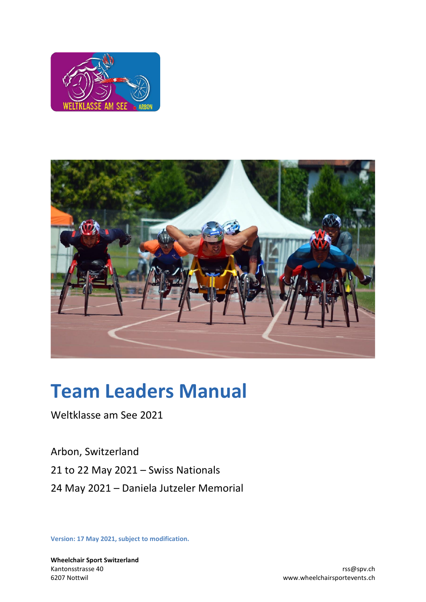



# **Team Leaders Manual**

Weltklasse am See 2021

Arbon, Switzerland 21 to 22 May 2021 – Swiss Nationals 24 May 2021 – Daniela Jutzeler Memorial

**Version: 17 May 2021, subject to modification.**

**Wheelchair Sport Switzerland** Kantonsstrasse 40 rss@spv.ch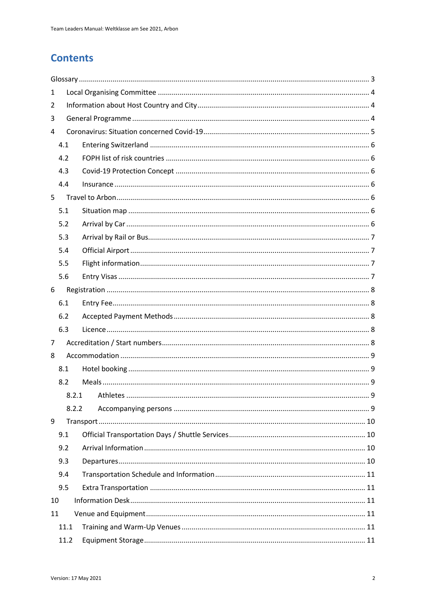# **Contents**

| 1     |      |  |  |  |
|-------|------|--|--|--|
| 2     |      |  |  |  |
| 3     |      |  |  |  |
| 4     |      |  |  |  |
|       | 4.1  |  |  |  |
|       | 4.2  |  |  |  |
|       | 4.3  |  |  |  |
|       | 4.4  |  |  |  |
| 5     |      |  |  |  |
|       | 5.1  |  |  |  |
|       | 5.2  |  |  |  |
|       | 5.3  |  |  |  |
|       | 5.4  |  |  |  |
|       | 5.5  |  |  |  |
|       | 5.6  |  |  |  |
| 6     |      |  |  |  |
|       | 6.1  |  |  |  |
|       | 6.2  |  |  |  |
|       | 6.3  |  |  |  |
| 7     |      |  |  |  |
| 8     |      |  |  |  |
|       | 8.1  |  |  |  |
|       | 8.2  |  |  |  |
|       |      |  |  |  |
| 8.2.2 |      |  |  |  |
| 9     |      |  |  |  |
| 9.1   |      |  |  |  |
|       | 9.2  |  |  |  |
|       | 9.3  |  |  |  |
|       | 9.4  |  |  |  |
|       | 9.5  |  |  |  |
| 10    |      |  |  |  |
| 11    |      |  |  |  |
| 11.1  |      |  |  |  |
|       | 11.2 |  |  |  |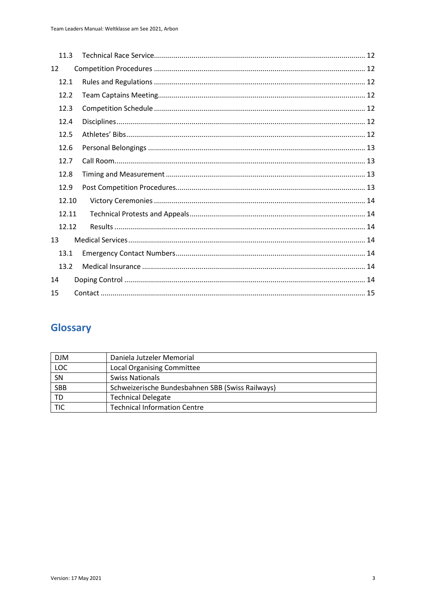|    | 11.3  |  |  |
|----|-------|--|--|
| 12 |       |  |  |
|    | 12.1  |  |  |
|    | 12.2  |  |  |
|    | 12.3  |  |  |
|    | 12.4  |  |  |
|    | 12.5  |  |  |
|    | 12.6  |  |  |
|    | 12.7  |  |  |
|    | 12.8  |  |  |
|    | 12.9  |  |  |
|    | 12.10 |  |  |
|    | 12.11 |  |  |
|    | 12.12 |  |  |
|    | 13    |  |  |
|    | 13.1  |  |  |
|    | 13.2  |  |  |
| 14 |       |  |  |
| 15 |       |  |  |
|    |       |  |  |

# <span id="page-2-0"></span>Glossary

| <b>DJM</b>              | Daniela Jutzeler Memorial                        |
|-------------------------|--------------------------------------------------|
| LOC                     | <b>Local Organising Committee</b>                |
| SN                      | <b>Swiss Nationals</b>                           |
| <b>SBB</b>              | Schweizerische Bundesbahnen SBB (Swiss Railways) |
| TD                      | <b>Technical Delegate</b>                        |
| $\overline{\text{TIC}}$ | <b>Technical Information Centre</b>              |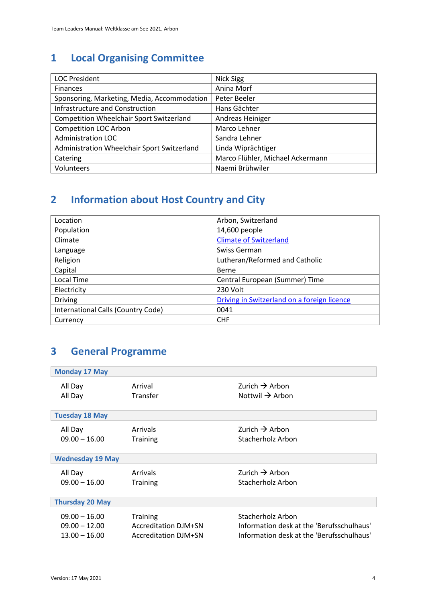# <span id="page-3-0"></span>**1 Local Organising Committee**

| <b>LOC President</b>                            | Nick Sigg                        |
|-------------------------------------------------|----------------------------------|
| <b>Finances</b>                                 | Anina Morf                       |
| Sponsoring, Marketing, Media, Accommodation     | Peter Beeler                     |
| <b>Infrastructure and Construction</b>          | Hans Gächter                     |
| <b>Competition Wheelchair Sport Switzerland</b> | Andreas Heiniger                 |
| <b>Competition LOC Arbon</b>                    | Marco Lehner                     |
| <b>Administration LOC</b>                       | Sandra Lehner                    |
| Administration Wheelchair Sport Switzerland     | Linda Wiprächtiger               |
| Catering                                        | Marco Flühler, Michael Ackermann |
| Volunteers                                      | Naemi Brühwiler                  |

# <span id="page-3-1"></span>**2 Information about Host Country and City**

| Location                           | Arbon, Switzerland                          |
|------------------------------------|---------------------------------------------|
| Population                         | 14,600 people                               |
| Climate                            | <b>Climate of Switzerland</b>               |
| Language                           | Swiss German                                |
| Religion                           | Lutheran/Reformed and Catholic              |
| Capital                            | Berne                                       |
| Local Time                         | Central European (Summer) Time              |
| Electricity                        | 230 Volt                                    |
| <b>Driving</b>                     | Driving in Switzerland on a foreign licence |
| International Calls (Country Code) | 0041                                        |
| Currency                           | <b>CHF</b>                                  |

# <span id="page-3-2"></span>**3 General Programme**

| <b>Monday 17 May</b>    |                             |                                           |  |
|-------------------------|-----------------------------|-------------------------------------------|--|
| All Day                 | Arrival                     | Zurich $\rightarrow$ Arbon                |  |
| All Day                 | Transfer                    | Nottwil $\rightarrow$ Arbon               |  |
| <b>Tuesday 18 May</b>   |                             |                                           |  |
| All Day                 | <b>Arrivals</b>             | Zurich $\rightarrow$ Arbon                |  |
| $09.00 - 16.00$         | <b>Training</b>             | Stacherholz Arbon                         |  |
| <b>Wednesday 19 May</b> |                             |                                           |  |
| All Day                 | Arrivals                    | Zurich $\rightarrow$ Arbon                |  |
| $09.00 - 16.00$         | <b>Training</b>             | Stacherholz Arbon                         |  |
| <b>Thursday 20 May</b>  |                             |                                           |  |
| $09.00 - 16.00$         | <b>Training</b>             | Stacherholz Arbon                         |  |
| $09.00 - 12.00$         | <b>Accreditation DJM+SN</b> | Information desk at the 'Berufsschulhaus' |  |
| $13.00 - 16.00$         | <b>Accreditation DJM+SN</b> | Information desk at the 'Berufsschulhaus' |  |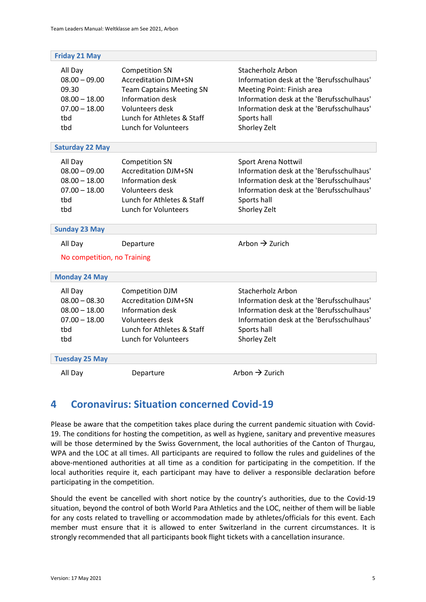| <b>Friday 21 May</b>                                                                    |                                                                                                                                                                                             |                                                                                                                                                                                                                              |
|-----------------------------------------------------------------------------------------|---------------------------------------------------------------------------------------------------------------------------------------------------------------------------------------------|------------------------------------------------------------------------------------------------------------------------------------------------------------------------------------------------------------------------------|
| All Day<br>$08.00 - 09.00$<br>09.30<br>$08.00 - 18.00$<br>$07.00 - 18.00$<br>tbd<br>tbd | <b>Competition SN</b><br><b>Accreditation DJM+SN</b><br><b>Team Captains Meeting SN</b><br>Information desk<br>Volunteers desk<br>Lunch for Athletes & Staff<br><b>Lunch for Volunteers</b> | <b>Stacherholz Arbon</b><br>Information desk at the 'Berufsschulhaus'<br>Meeting Point: Finish area<br>Information desk at the 'Berufsschulhaus'<br>Information desk at the 'Berufsschulhaus'<br>Sports hall<br>Shorley Zelt |
| <b>Saturday 22 May</b>                                                                  |                                                                                                                                                                                             |                                                                                                                                                                                                                              |
| All Day<br>$08.00 - 09.00$<br>$08.00 - 18.00$<br>$07.00 - 18.00$<br>tbd<br>thd          | <b>Competition SN</b><br><b>Accreditation DJM+SN</b><br>Information desk<br>Volunteers desk<br>Lunch for Athletes & Staff<br><b>Lunch for Volunteers</b>                                    | Sport Arena Nottwil<br>Information desk at the 'Berufsschulhaus'<br>Information desk at the 'Berufsschulhaus'<br>Information desk at the 'Berufsschulhaus'<br>Sports hall<br>Shorley Zelt                                    |
| <b>Sunday 23 May</b>                                                                    |                                                                                                                                                                                             |                                                                                                                                                                                                                              |
| All Day<br>No competition, no Training                                                  | Departure                                                                                                                                                                                   | Arbon $\rightarrow$ Zurich                                                                                                                                                                                                   |
| <b>Monday 24 May</b>                                                                    |                                                                                                                                                                                             |                                                                                                                                                                                                                              |
| All Day<br>$08.00 - 08.30$<br>$08.00 - 18.00$<br>$07.00 - 18.00$<br>tbd<br>tbd          | Competition DJM<br><b>Accreditation DJM+SN</b><br>Information desk<br>Volunteers desk<br>Lunch for Athletes & Staff<br><b>Lunch for Volunteers</b>                                          | <b>Stacherholz Arbon</b><br>Information desk at the 'Berufsschulhaus'<br>Information desk at the 'Berufsschulhaus'<br>Information desk at the 'Berufsschulhaus'<br>Sports hall<br>Shorley Zelt                               |
| <b>Tuesday 25 May</b>                                                                   |                                                                                                                                                                                             |                                                                                                                                                                                                                              |
| All Day                                                                                 | Departure                                                                                                                                                                                   | Arbon $\rightarrow$ Zurich                                                                                                                                                                                                   |

# <span id="page-4-0"></span>**4 Coronavirus: Situation concerned Covid-19**

Please be aware that the competition takes place during the current pandemic situation with Covid-19. The conditions for hosting the competition, as well as hygiene, sanitary and preventive measures will be those determined by the Swiss Government, the local authorities of the Canton of Thurgau, WPA and the LOC at all times. All participants are required to follow the rules and guidelines of the above-mentioned authorities at all time as a condition for participating in the competition. If the local authorities require it, each participant may have to deliver a responsible declaration before participating in the competition.

Should the event be cancelled with short notice by the country's authorities, due to the Covid-19 situation, beyond the control of both World Para Athletics and the LOC, neither of them will be liable for any costs related to travelling or accommodation made by athletes/officials for this event. Each member must ensure that it is allowed to enter Switzerland in the current circumstances. It is strongly recommended that all participants book flight tickets with a cancellation insurance.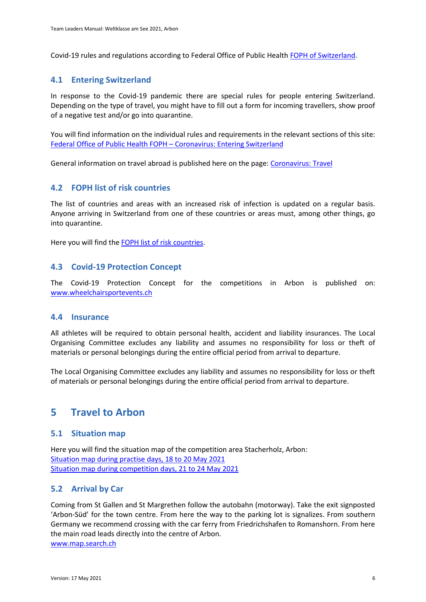Covid-19 rules and regulations according to Federal Office of Public Healt[h FOPH of Switzerland.](https://www.bag.admin.ch/bag/en/home/krankheiten/ausbrueche-epidemien-pandemien/aktuelle-ausbrueche-epidemien/novel-cov/empfehlungen-fuer-reisende.html)

#### <span id="page-5-0"></span>**4.1 Entering Switzerland**

In response to the Covid-19 pandemic there are special rules for people entering Switzerland. Depending on the type of travel, you might have to fill out a form for incoming travellers, show proof of a negative test and/or go into quarantine.

You will find information on the individual rules and requirements in the relevant sections of this site: [Federal Office of Public Health FOPH](https://www.bag.admin.ch/bag/en/home/krankheiten/ausbrueche-epidemien-pandemien/aktuelle-ausbrueche-epidemien/novel-cov/empfehlungen-fuer-reisende/quarantaene-einreisende.html) – Coronavirus: Entering Switzerland

General information on travel abroad is published here on the page: [Coronavirus: Travel](https://www.bag.admin.ch/bag/en/home/krankheiten/ausbrueche-epidemien-pandemien/aktuelle-ausbrueche-epidemien/novel-cov/empfehlungen-fuer-reisende.html)

#### <span id="page-5-1"></span>**4.2 FOPH list of risk countries**

The list of countries and areas with an increased risk of infection is updated on a regular basis. Anyone arriving in Switzerland from one of these countries or areas must, among other things, go into quarantine.

Here you will find th[e FOPH list of risk countries.](https://www.bag.admin.ch/bag/en/home/krankheiten/ausbrueche-epidemien-pandemien/aktuelle-ausbrueche-epidemien/novel-cov/empfehlungen-fuer-reisende/liste.html)

#### <span id="page-5-2"></span>**4.3 Covid-19 Protection Concept**

The Covid-19 Protection Concept for the competitions in Arbon is published on: [www.wheelchairsportevents.ch](https://www.rollstuhlsportevents.ch/en/ongoing_events/arbon_2021/athletes/)

#### <span id="page-5-3"></span>**4.4 Insurance**

All athletes will be required to obtain personal health, accident and liability insurances. The Local Organising Committee excludes any liability and assumes no responsibility for loss or theft of materials or personal belongings during the entire official period from arrival to departure.

The Local Organising Committee excludes any liability and assumes no responsibility for loss or theft of materials or personal belongings during the entire official period from arrival to departure.

#### <span id="page-5-4"></span>**5 Travel to Arbon**

#### <span id="page-5-5"></span>**5.1 Situation map**

Here you will find the situation map of the competition area Stacherholz, Arbon: [Situation map during practise days, 18 to 20 May 2021](https://www.rollstuhlsportevents.ch/__/frontend/handler/image.php?id=3856) [Situation map during competition days, 21 to 24 May 2021](https://www.rollstuhlsportevents.ch/__/frontend/handler/image.php?id=3855)

#### <span id="page-5-6"></span>**5.2 Arrival by Car**

Coming from St Gallen and St Margrethen follow the autobahn (motorway). Take the exit signposted 'Arbon-Süd' for the town centre. From here the way to the parking lot is signalizes. From southern Germany we recommend crossing with the car ferry from Friedrichshafen to Romanshorn. From here the main road leads directly into the centre of Arbon. [www.map.search.ch](http://www.map.search.ch/)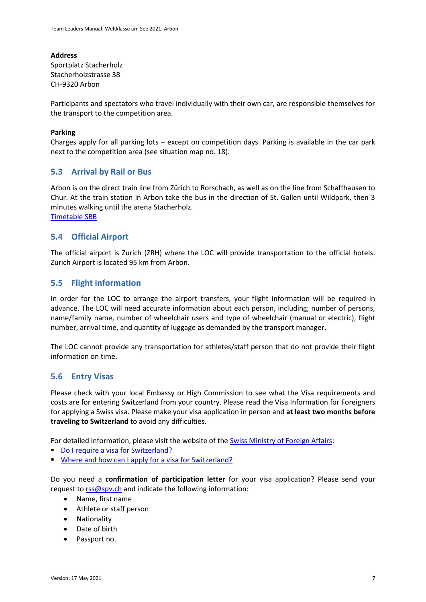**Address** Sportplatz Stacherholz Stacherholzstrasse 38 CH-9320 Arbon

Participants and spectators who travel individually with their own car, are responsible themselves for the transport to the competition area.

#### **Parking**

Charges apply for all parking lots – except on competition days. Parking is available in the car park next to the competition area (see situation map no. 18).

#### <span id="page-6-0"></span>**5.3 Arrival by Rail or Bus**

Arbon is on the direct train line from Zürich to Rorschach, as well as on the line from Schaffhausen to Chur. At the train station in Arbon take the bus in the direction of St. Gallen until Wildpark, then 3 minutes walking until the arena Stacherholz. [Timetable SBB](https://www.sbb.ch/en/)

<span id="page-6-1"></span>**5.4 Official Airport**

The official airport is Zurich (ZRH) where the LOC will provide transportation to the official hotels. Zurich Airport is located 95 km from Arbon.

#### <span id="page-6-2"></span>**5.5 Flight information**

In order for the LOC to arrange the airport transfers, your flight information will be required in advance. The LOC will need accurate information about each person, including; number of persons, name/family name, number of wheelchair users and type of wheelchair (manual or electric), flight number, arrival time, and quantity of luggage as demanded by the transport manager.

The LOC cannot provide any transportation for athletes/staff person that do not provide their flight information on time.

#### <span id="page-6-3"></span>**5.6 Entry Visas**

Please check with your local Embassy or High Commission to see what the Visa requirements and costs are for entering Switzerland from your country. Please read the Visa Information for Foreigners for applying a Swiss visa. Please make your visa application in person and **at least two months before traveling to Switzerland** to avoid any difficulties.

For detailed information, please visit the website of the [Swiss Ministry of Foreign Affairs:](https://www.sem.admin.ch/sem/en/home/themen/einreise.html)

- [Do I require a visa for Switzerland?](https://www.sem.admin.ch/sem/en/home/themen/einreise/merkblatt_einreise.html)
- [Where and how can I apply for a visa for Switzerland?](https://www.swiss-visa.ch/ivis2/#/i210-select-country)

Do you need a **confirmation of participation letter** for your visa application? Please send your request t[o rss@spv.ch](mailto:rss@spv.ch) and indicate the following information:

- Name, first name
- Athlete or staff person
- Nationality
- Date of birth
- Passport no.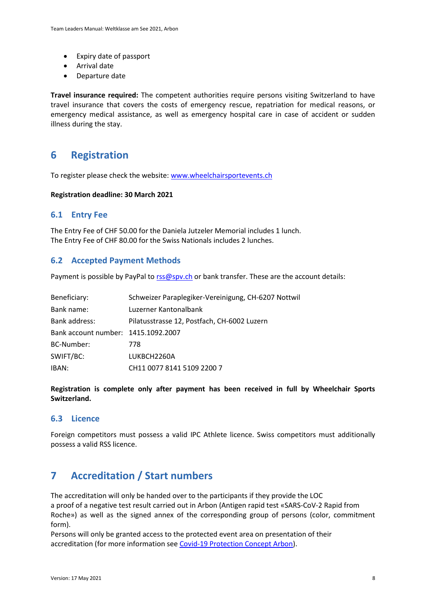- Expiry date of passport
- Arrival date
- Departure date

**Travel insurance required:** The competent authorities require persons visiting Switzerland to have travel insurance that covers the costs of emergency rescue, repatriation for medical reasons, or emergency medical assistance, as well as emergency hospital care in case of accident or sudden illness during the stay.

## <span id="page-7-0"></span>**6 Registration**

To register please check the website[: www.wheelchairsportevents.ch](http://www.wheelchairsportevents.ch/en/ongoing_events/parathletics_2021_nottwil/athletes/)

**Registration deadline: 30 March 2021**

#### <span id="page-7-1"></span>**6.1 Entry Fee**

The Entry Fee of CHF 50.00 for the Daniela Jutzeler Memorial includes 1 lunch. The Entry Fee of CHF 80.00 for the Swiss Nationals includes 2 lunches.

#### <span id="page-7-2"></span>**6.2 Accepted Payment Methods**

Payment is possible by PayPal t[o rss@spv.ch](mailto:rss@spv.ch) or bank transfer. These are the account details:

| Beneficiary:                        | Schweizer Paraplegiker-Vereinigung, CH-6207 Nottwil |
|-------------------------------------|-----------------------------------------------------|
| Bank name:                          | Luzerner Kantonalbank                               |
| Bank address:                       | Pilatusstrasse 12, Postfach, CH-6002 Luzern         |
| Bank account number: 1415.1092.2007 |                                                     |
| BC-Number:                          | 778                                                 |
| SWIFT/BC:                           | LUKBCH2260A                                         |
| IBAN:                               | CH11 0077 8141 5109 2200 7                          |

**Registration is complete only after payment has been received in full by Wheelchair Sports Switzerland.**

#### <span id="page-7-3"></span>**6.3 Licence**

Foreign competitors must possess a valid IPC Athlete licence. Swiss competitors must additionally possess a valid RSS licence.

# <span id="page-7-4"></span>**7 Accreditation / Start numbers**

The accreditation will only be handed over to the participants if they provide the LOC a proof of a negative test result carried out in Arbon (Antigen rapid test «SARS-CoV-2 Rapid from Roche») as well as the signed annex of the corresponding group of persons (color, commitment form).

Persons will only be granted access to the protected event area on presentation of their accreditation (for more information see [Covid-19 Protection Concept Arbon\)](https://www.rollstuhlsportevents.ch/__/frontend/handler/document/42/1483/20210517_Schutzkonzept%20COVID%20Arbon_e.pdf).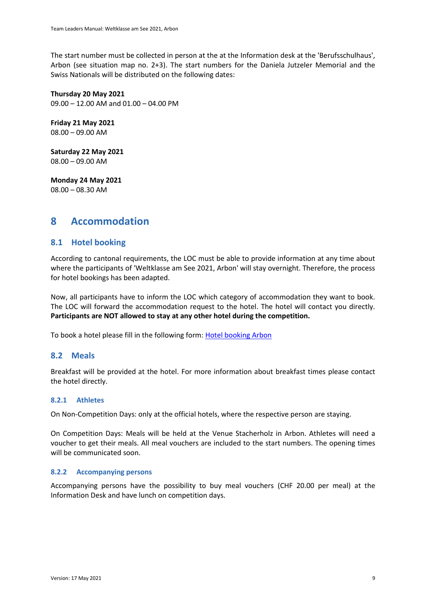The start number must be collected in person at the at the Information desk at the 'Berufsschulhaus', Arbon (see situation map no. 2+3). The start numbers for the Daniela Jutzeler Memorial and the Swiss Nationals will be distributed on the following dates:

**Thursday 20 May 2021** 09.00 – 12.00 AM and 01.00 – 04.00 PM

**Friday 21 May 2021** 08.00 – 09.00 AM

**Saturday 22 May 2021** 08.00 – 09.00 AM

**Monday 24 May 2021** 08.00 – 08.30 AM

## <span id="page-8-0"></span>**8 Accommodation**

#### <span id="page-8-1"></span>**8.1 Hotel booking**

According to cantonal requirements, the LOC must be able to provide information at any time about where the participants of 'Weltklasse am See 2021, Arbon' will stay overnight. Therefore, the process for hotel bookings has been adapted.

Now, all participants have to inform the LOC which category of accommodation they want to book. The LOC will forward the accommodation request to the hotel. The hotel will contact you directly. **Participants are NOT allowed to stay at any other hotel during the competition.**

To book a hotel please fill in the following form: [Hotel booking Arbon](https://fatis.wufoo.com/forms/ql0k0zo1edu353/)

#### <span id="page-8-2"></span>**8.2 Meals**

Breakfast will be provided at the hotel. For more information about breakfast times please contact the hotel directly.

#### <span id="page-8-3"></span>**8.2.1 Athletes**

On Non-Competition Days: only at the official hotels, where the respective person are staying.

On Competition Days: Meals will be held at the Venue Stacherholz in Arbon. Athletes will need a voucher to get their meals. All meal vouchers are included to the start numbers. The opening times will be communicated soon.

#### <span id="page-8-4"></span>**8.2.2 Accompanying persons**

Accompanying persons have the possibility to buy meal vouchers (CHF 20.00 per meal) at the Information Desk and have lunch on competition days.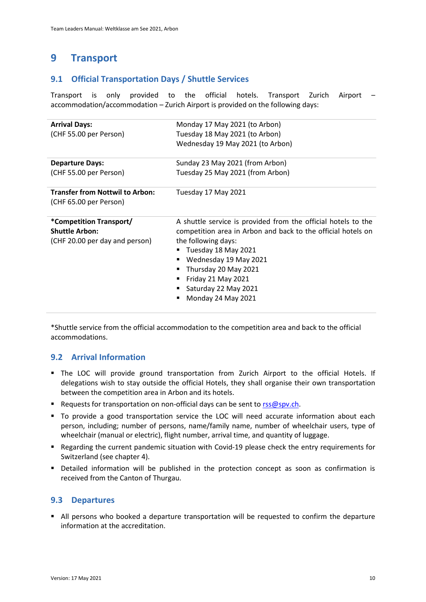# <span id="page-9-0"></span>**9 Transport**

#### <span id="page-9-1"></span>**9.1 Official Transportation Days / Shuttle Services**

Transport is only provided to the official hotels. Transport Zurich Airport – accommodation/accommodation – Zurich Airport is provided on the following days:

| Monday 17 May 2021 (to Arbon)                                 |
|---------------------------------------------------------------|
| Tuesday 18 May 2021 (to Arbon)                                |
| Wednesday 19 May 2021 (to Arbon)                              |
| Sunday 23 May 2021 (from Arbon)                               |
| Tuesday 25 May 2021 (from Arbon)                              |
| Tuesday 17 May 2021                                           |
|                                                               |
| A shuttle service is provided from the official hotels to the |
| competition area in Arbon and back to the official hotels on  |
| the following days:                                           |
| Tuesday 18 May 2021<br>п                                      |
|                                                               |
| Wednesday 19 May 2021<br>٠                                    |
| Thursday 20 May 2021<br>٠                                     |
| Friday 21 May 2021                                            |
| Saturday 22 May 2021                                          |
|                                                               |

\*Shuttle service from the official accommodation to the competition area and back to the official accommodations.

#### <span id="page-9-2"></span>**9.2 Arrival Information**

- The LOC will provide ground transportation from Zurich Airport to the official Hotels. If delegations wish to stay outside the official Hotels, they shall organise their own transportation between the competition area in Arbon and its hotels.
- Requests for transportation on non-official days can be sent to [rss@spv.ch.](mailto:rss@spv.ch)
- To provide a good transportation service the LOC will need accurate information about each person, including; number of persons, name/family name, number of wheelchair users, type of wheelchair (manual or electric), flight number, arrival time, and quantity of luggage.
- Regarding the current pandemic situation with Covid-19 please check the entry requirements for Switzerland (see chapter 4).
- Detailed information will be published in the protection concept as soon as confirmation is received from the Canton of Thurgau.

#### <span id="page-9-3"></span>**9.3 Departures**

■ All persons who booked a departure transportation will be requested to confirm the departure information at the accreditation.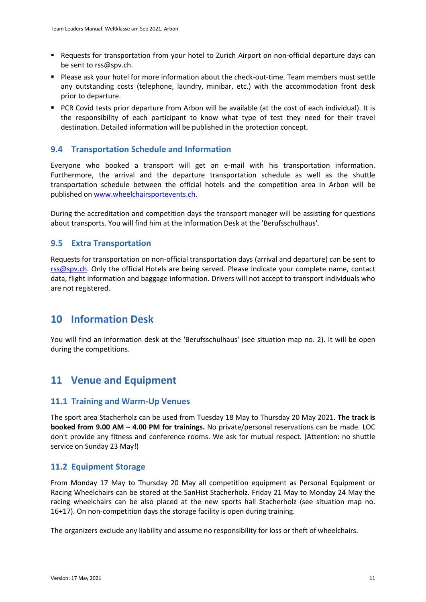- Requests for transportation from your hotel to Zurich Airport on non-official departure days can be sent t[o rss@spv.ch.](mailto:rss@spv.ch)
- Please ask your hotel for more information about the check-out-time. Team members must settle any outstanding costs (telephone, laundry, minibar, etc.) with the accommodation front desk prior to departure.
- PCR Covid tests prior departure from Arbon will be available (at the cost of each individual). It is the responsibility of each participant to know what type of test they need for their travel destination. Detailed information will be published in the protection concept.

#### <span id="page-10-0"></span>**9.4 Transportation Schedule and Information**

Everyone who booked a transport will get an e-mail with his transportation information. Furthermore, the arrival and the departure transportation schedule as well as the shuttle transportation schedule between the official hotels and the competition area in Arbon will be published on [www.wheelchairsportevents.ch.](http://www.wheelchairsportevents.ch/)

During the accreditation and competition days the transport manager will be assisting for questions about transports. You will find him at the Information Desk at the 'Berufsschulhaus'.

#### <span id="page-10-1"></span>**9.5 Extra Transportation**

Requests for transportation on non-official transportation days (arrival and departure) can be sent to [rss@spv.ch.](mailto:rss@spv.ch) Only the official Hotels are being served. Please indicate your complete name, contact data, flight information and baggage information. Drivers will not accept to transport individuals who are not registered.

# <span id="page-10-2"></span>**10 Information Desk**

You will find an information desk at the 'Berufsschulhaus' (see situation map no. 2). It will be open during the competitions.

# <span id="page-10-3"></span>**11 Venue and Equipment**

#### <span id="page-10-4"></span>**11.1 Training and Warm-Up Venues**

The sport area Stacherholz can be used from Tuesday 18 May to Thursday 20 May 2021. **The track is booked from 9.00 AM – 4.00 PM for trainings.** No private/personal reservations can be made. LOC don't provide any fitness and conference rooms. We ask for mutual respect. (Attention: no shuttle service on Sunday 23 May!)

#### <span id="page-10-5"></span>**11.2 Equipment Storage**

From Monday 17 May to Thursday 20 May all competition equipment as Personal Equipment or Racing Wheelchairs can be stored at the SanHist Stacherholz. Friday 21 May to Monday 24 May the racing wheelchairs can be also placed at the new sports hall Stacherholz (see situation map no. 16+17). On non-competition days the storage facility is open during training.

The organizers exclude any liability and assume no responsibility for loss or theft of wheelchairs.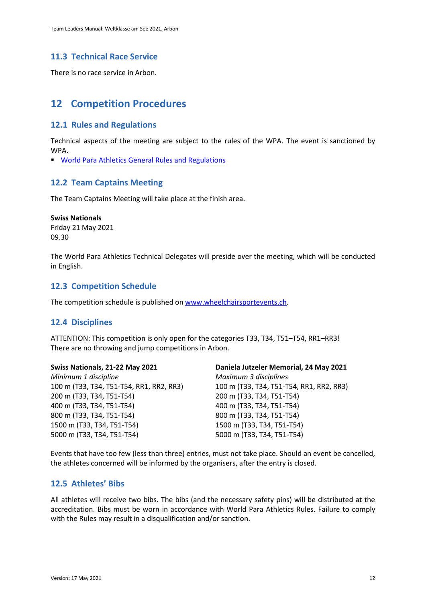#### <span id="page-11-0"></span>**11.3 Technical Race Service**

There is no race service in Arbon.

# <span id="page-11-1"></span>**12 Competition Procedures**

#### <span id="page-11-2"></span>**12.1 Rules and Regulations**

Technical aspects of the meeting are subject to the rules of the WPA. The event is sanctioned by WPA.

▪ [World Para Athletics General Rules and Regulations](https://www.paralympic.org/athletics/rules)

#### <span id="page-11-3"></span>**12.2 Team Captains Meeting**

The Team Captains Meeting will take place at the finish area.

#### **Swiss Nationals**

Friday 21 May 2021 09.30

The World Para Athletics Technical Delegates will preside over the meeting, which will be conducted in English.

#### <span id="page-11-4"></span>**12.3 Competition Schedule**

The competition schedule is published on [www.wheelchairsportevents.ch.](http://www.wheelchairsportevents.ch/)

#### <span id="page-11-5"></span>**12.4 Disciplines**

ATTENTION: This competition is only open for the categories T33, T34, T51–T54, RR1–RR3! There are no throwing and jump competitions in Arbon.

| Swiss Nationals, 21-22 May 2021          | Daniela Jutzeler Memorial, 24 May 2021   |
|------------------------------------------|------------------------------------------|
| Minimum 1 discipline                     | Maximum 3 disciplines                    |
| 100 m (T33, T34, T51-T54, RR1, RR2, RR3) | 100 m (T33, T34, T51-T54, RR1, RR2, RR3) |
| 200 m (T33, T34, T51-T54)                | 200 m (T33, T34, T51-T54)                |
| 400 m (T33, T34, T51-T54)                | 400 m (T33, T34, T51-T54)                |
| 800 m (T33, T34, T51-T54)                | 800 m (T33, T34, T51-T54)                |
| 1500 m (T33, T34, T51-T54)               | 1500 m (T33, T34, T51-T54)               |
| 5000 m (T33, T34, T51-T54)               | 5000 m (T33, T34, T51-T54)               |
|                                          |                                          |

Events that have too few (less than three) entries, must not take place. Should an event be cancelled, the athletes concerned will be informed by the organisers, after the entry is closed.

#### <span id="page-11-6"></span>**12.5 Athletes' Bibs**

All athletes will receive two bibs. The bibs (and the necessary safety pins) will be distributed at the accreditation. Bibs must be worn in accordance with World Para Athletics Rules. Failure to comply with the Rules may result in a disqualification and/or sanction.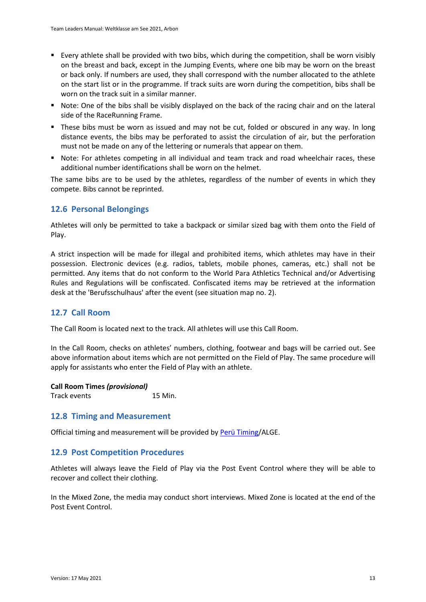- Every athlete shall be provided with two bibs, which during the competition, shall be worn visibly on the breast and back, except in the Jumping Events, where one bib may be worn on the breast or back only. If numbers are used, they shall correspond with the number allocated to the athlete on the start list or in the programme. If track suits are worn during the competition, bibs shall be worn on the track suit in a similar manner.
- Note: One of the bibs shall be visibly displayed on the back of the racing chair and on the lateral side of the RaceRunning Frame.
- **•** These bibs must be worn as issued and may not be cut, folded or obscured in any way. In long distance events, the bibs may be perforated to assist the circulation of air, but the perforation must not be made on any of the lettering or numerals that appear on them.
- Note: For athletes competing in all individual and team track and road wheelchair races, these additional number identifications shall be worn on the helmet.

The same bibs are to be used by the athletes, regardless of the number of events in which they compete. Bibs cannot be reprinted.

#### <span id="page-12-0"></span>**12.6 Personal Belongings**

Athletes will only be permitted to take a backpack or similar sized bag with them onto the Field of Play.

A strict inspection will be made for illegal and prohibited items, which athletes may have in their possession. Electronic devices (e.g. radios, tablets, mobile phones, cameras, etc.) shall not be permitted. Any items that do not conform to the World Para Athletics Technical and/or Advertising Rules and Regulations will be confiscated. Confiscated items may be retrieved at the information desk at the 'Berufsschulhaus' after the event (see situation map no. 2).

#### <span id="page-12-1"></span>**12.7 Call Room**

The Call Room is located next to the track. All athletes will use this Call Room.

In the Call Room, checks on athletes' numbers, clothing, footwear and bags will be carried out. See above information about items which are not permitted on the Field of Play. The same procedure will apply for assistants who enter the Field of Play with an athlete.

**Call Room Times** *(provisional)*

Track events 15 Min.

#### <span id="page-12-2"></span>**12.8 Timing and Measurement**

Official timing and measurement will be provided b[y Perü Timing/](http://www.perü-timing.ch/)ALGE.

#### <span id="page-12-3"></span>**12.9 Post Competition Procedures**

Athletes will always leave the Field of Play via the Post Event Control where they will be able to recover and collect their clothing.

In the Mixed Zone, the media may conduct short interviews. Mixed Zone is located at the end of the Post Event Control.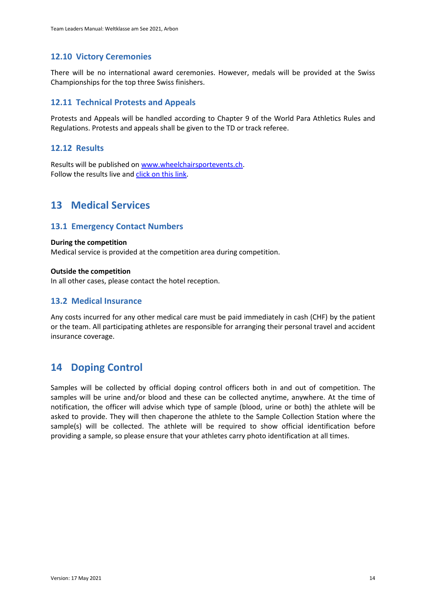#### <span id="page-13-0"></span>**12.10 Victory Ceremonies**

There will be no international award ceremonies. However, medals will be provided at the Swiss Championships for the top three Swiss finishers.

#### <span id="page-13-1"></span>**12.11 Technical Protests and Appeals**

Protests and Appeals will be handled according to Chapter 9 of the World Para Athletics Rules and Regulations. Protests and appeals shall be given to the TD or track referee.

#### <span id="page-13-2"></span>**12.12 Results**

Results will be published on [www.wheelchairsportevents.ch.](http://www.wheelchairsportevents.ch/) Follow the results live and [click on this link.](https://om-spv.paraplegie.ch/mobileweb.server/Request.aspx?PRGNAME=SelectLanguageForm)

## <span id="page-13-3"></span>**13 Medical Services**

#### <span id="page-13-4"></span>**13.1 Emergency Contact Numbers**

#### **During the competition**

Medical service is provided at the competition area during competition.

#### **Outside the competition**

In all other cases, please contact the hotel reception.

#### <span id="page-13-5"></span>**13.2 Medical Insurance**

Any costs incurred for any other medical care must be paid immediately in cash (CHF) by the patient or the team. All participating athletes are responsible for arranging their personal travel and accident insurance coverage.

## <span id="page-13-6"></span>**14 Doping Control**

Samples will be collected by official doping control officers both in and out of competition. The samples will be urine and/or blood and these can be collected anytime, anywhere. At the time of notification, the officer will advise which type of sample (blood, urine or both) the athlete will be asked to provide. They will then chaperone the athlete to the Sample Collection Station where the sample(s) will be collected. The athlete will be required to show official identification before providing a sample, so please ensure that your athletes carry photo identification at all times.